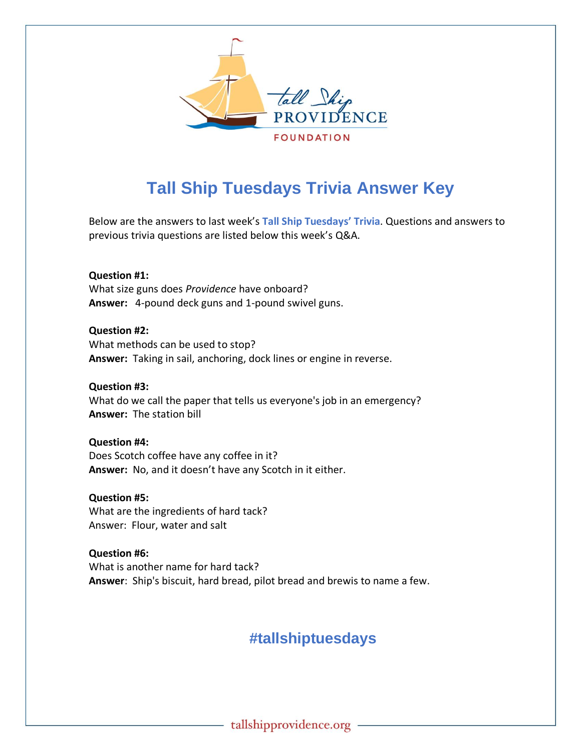

## **Tall Ship Tuesdays Trivia Answer Key**

Below are the answers to last week's **Tall Ship Tuesdays' Trivia**. Questions and answers to previous trivia questions are listed below this week's Q&A.

**Question #1:**  What size guns does *Providence* have onboard? **Answer:** 4-pound deck guns and 1-pound swivel guns.

**Question #2:** What methods can be used to stop? **Answer:** Taking in sail, anchoring, dock lines or engine in reverse.

**Question #3:** What do we call the paper that tells us everyone's job in an emergency? **Answer:** The station bill

**Question #4:** Does Scotch coffee have any coffee in it? **Answer:** No, and it doesn't have any Scotch in it either.

**Question #5:** What are the ingredients of hard tack? Answer: Flour, water and salt

**Question #6:** What is another name for hard tack? **Answer**: Ship's biscuit, hard bread, pilot bread and brewis to name a few.

## **#tallshiptuesdays**